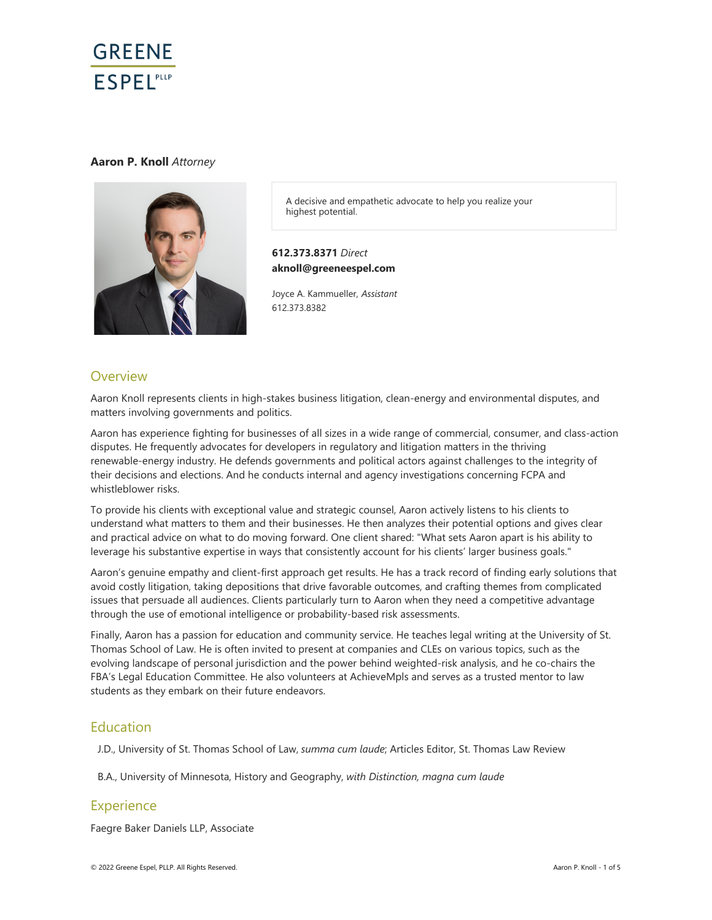

## **Aaron P. Knoll** *Attorney*



A decisive and empathetic advocate to help you realize your highest potential.

## **612.373.8371** *Direct* **aknoll@greeneespel.com**

Joyce A. Kammueller, *Assistant* 612.373.8382

## **Overview**

Aaron Knoll represents clients in high-stakes business litigation, clean-energy and environmental disputes, and matters involving governments and politics.

Aaron has experience fighting for businesses of all sizes in a wide range of commercial, consumer, and class-action disputes. He frequently advocates for developers in regulatory and litigation matters in the thriving renewable-energy industry. He defends governments and political actors against challenges to the integrity of their decisions and elections. And he conducts internal and agency investigations concerning FCPA and whistleblower risks.

To provide his clients with exceptional value and strategic counsel, Aaron actively listens to his clients to understand what matters to them and their businesses. He then analyzes their potential options and gives clear and practical advice on what to do moving forward. One client shared: "What sets Aaron apart is his ability to leverage his substantive expertise in ways that consistently account for his clients' larger business goals."

Aaron's genuine empathy and client-first approach get results. He has a track record of finding early solutions that avoid costly litigation, taking depositions that drive favorable outcomes, and crafting themes from complicated issues that persuade all audiences. Clients particularly turn to Aaron when they need a competitive advantage through the use of emotional intelligence or probability-based risk assessments.

Finally, Aaron has a passion for education and community service. He teaches legal writing at the University of St. Thomas School of Law. He is often invited to present at companies and CLEs on various topics, such as the evolving landscape of personal jurisdiction and the power behind weighted-risk analysis, and he co-chairs the FBA's Legal Education Committee. He also volunteers at AchieveMpls and serves as a trusted mentor to law students as they embark on their future endeavors.

## Education

J.D., University of St. Thomas School of Law, *summa cum laude*; Articles Editor, St. Thomas Law Review

B.A., University of Minnesota, History and Geography, *with Distinction, magna cum laude* 

## **Experience**

Faegre Baker Daniels LLP, Associate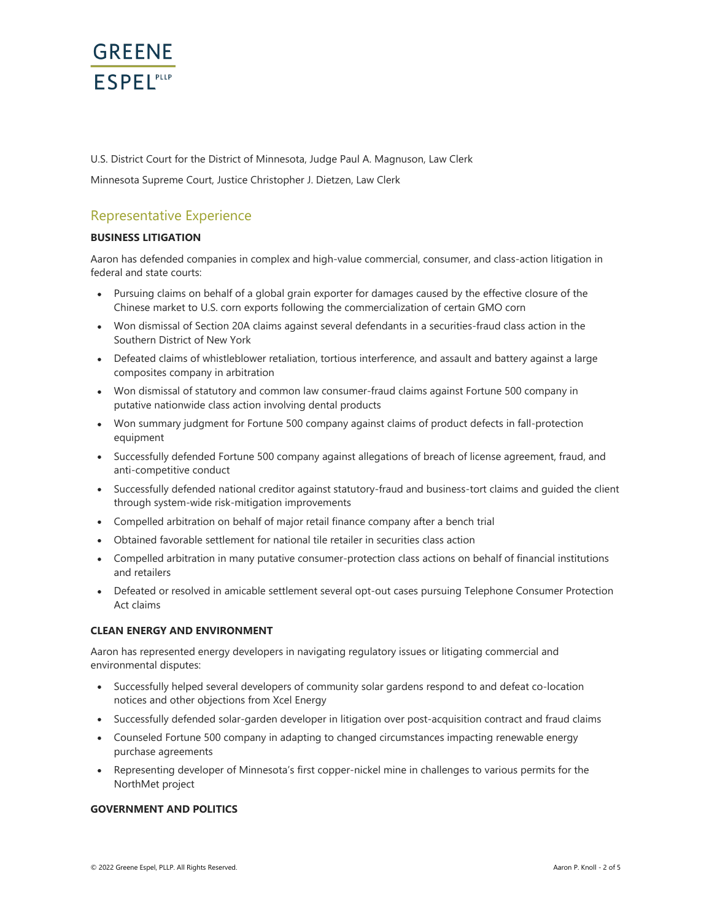

U.S. District Court for the District of Minnesota, Judge Paul A. Magnuson, Law Clerk

Minnesota Supreme Court, Justice Christopher J. Dietzen, Law Clerk

# Representative Experience

## **BUSINESS LITIGATION**

Aaron has defended companies in complex and high-value commercial, consumer, and class-action litigation in federal and state courts:

- Pursuing claims on behalf of a global grain exporter for damages caused by the effective closure of the Chinese market to U.S. corn exports following the commercialization of certain GMO corn
- Won dismissal of Section 20A claims against several defendants in a securities-fraud class action in the Southern District of New York
- Defeated claims of whistleblower retaliation, tortious interference, and assault and battery against a large composites company in arbitration
- Won dismissal of statutory and common law consumer-fraud claims against Fortune 500 company in putative nationwide class action involving dental products
- Won summary judgment for Fortune 500 company against claims of product defects in fall-protection equipment
- Successfully defended Fortune 500 company against allegations of breach of license agreement, fraud, and anti-competitive conduct
- Successfully defended national creditor against statutory-fraud and business-tort claims and quided the client through system-wide risk-mitigation improvements
- Compelled arbitration on behalf of major retail finance company after a bench trial
- Obtained favorable settlement for national tile retailer in securities class action
- Compelled arbitration in many putative consumer-protection class actions on behalf of financial institutions and retailers
- Defeated or resolved in amicable settlement several opt-out cases pursuing Telephone Consumer Protection Act claims

#### **CLEAN ENERGY AND ENVIRONMENT**

Aaron has represented energy developers in navigating regulatory issues or litigating commercial and environmental disputes:

- Successfully helped several developers of community solar gardens respond to and defeat co-location notices and other objections from Xcel Energy
- Successfully defended solar-garden developer in litigation over post-acquisition contract and fraud claims
- Counseled Fortune 500 company in adapting to changed circumstances impacting renewable energy purchase agreements
- Representing developer of Minnesota's first copper-nickel mine in challenges to various permits for the NorthMet project

## **GOVERNMENT AND POLITICS**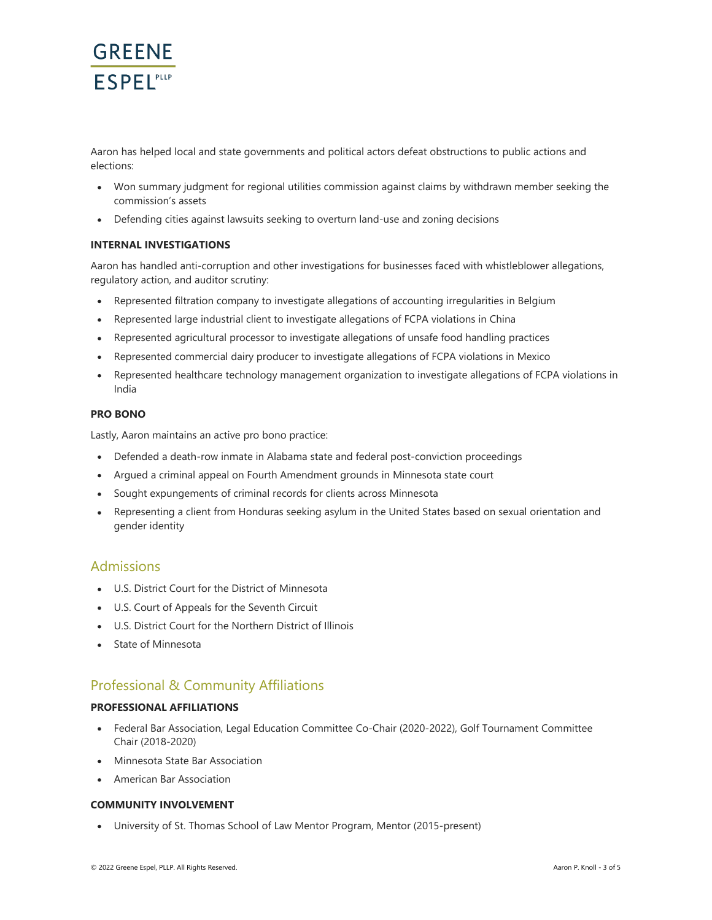

Aaron has helped local and state governments and political actors defeat obstructions to public actions and elections:

- Won summary judgment for regional utilities commission against claims by withdrawn member seeking the commission's assets
- Defending cities against lawsuits seeking to overturn land-use and zoning decisions

## **INTERNAL INVESTIGATIONS**

Aaron has handled anti-corruption and other investigations for businesses faced with whistleblower allegations, regulatory action, and auditor scrutiny:

- Represented filtration company to investigate allegations of accounting irregularities in Belgium
- Represented large industrial client to investigate allegations of FCPA violations in China
- Represented agricultural processor to investigate allegations of unsafe food handling practices  $\bullet$
- Represented commercial dairy producer to investigate allegations of FCPA violations in Mexico
- Represented healthcare technology management organization to investigate allegations of FCPA violations in India

## **PRO BONO**

Lastly, Aaron maintains an active pro bono practice:

- Defended a death-row inmate in Alabama state and federal post-conviction proceedings
- Argued a criminal appeal on Fourth Amendment grounds in Minnesota state court
- Sought expungements of criminal records for clients across Minnesota
- Representing a client from Honduras seeking asylum in the United States based on sexual orientation and  $\bullet$ gender identity

## Admissions

- U.S. District Court for the District of Minnesota
- U.S. Court of Appeals for the Seventh Circuit
- U.S. District Court for the Northern District of Illinois
- State of Minnesota

# Professional & Community Affiliations

#### **PROFESSIONAL AFFILIATIONS**

- Federal Bar Association, Legal Education Committee Co-Chair (2020-2022), Golf Tournament Committee Chair (2018-2020)
- Minnesota State Bar Association
- American Bar Association

## **COMMUNITY INVOLVEMENT**

University of St. Thomas School of Law Mentor Program, Mentor (2015-present)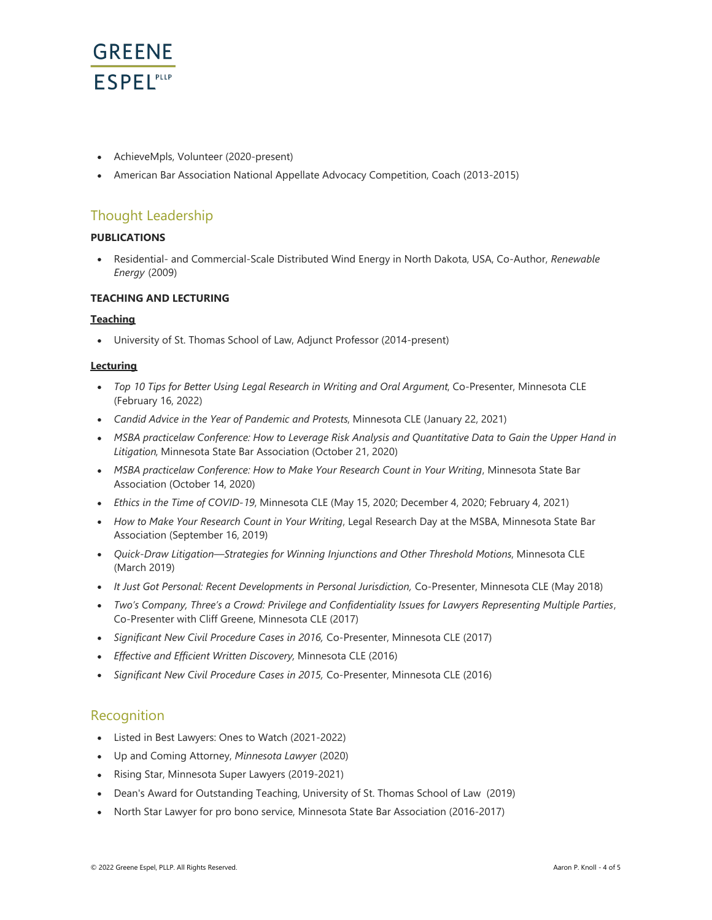

- AchieveMpls, Volunteer (2020-present)
- American Bar Association National Appellate Advocacy Competition, Coach (2013-2015)

# Thought Leadership

## **PUBLICATIONS**

Residential- and Commercial-Scale Distributed Wind Energy in North Dakota, USA, Co-Author, *Renewable Energy* (2009)

## **TEACHING AND LECTURING**

## **Teaching**

University of St. Thomas School of Law, Adjunct Professor (2014-present)

#### **Lecturing**

- *Top 10 Tips for Better Using Legal Research in Writing and Oral Argument*, Co-Presenter, Minnesota CLE (February 16, 2022)
- *Candid Advice in the Year of Pandemic and Protests*, Minnesota CLE (January 22, 2021)
- *MSBA practicelaw Conference: How to Leverage Risk Analysis and Quantitative Data to Gain the Upper Hand in Litigation*, Minnesota State Bar Association (October 21, 2020)
- *MSBA practicelaw Conference: How to Make Your Research Count in Your Writing*, Minnesota State Bar Association (October 14, 2020)
- *Ethics in the Time of COVID-19*, Minnesota CLE (May 15, 2020; December 4, 2020; February 4, 2021)
- *How to Make Your Research Count in Your Writing*, Legal Research Day at the MSBA, Minnesota State Bar Association (September 16, 2019)
- *Quick-Draw Litigation—Strategies for Winning Injunctions and Other Threshold Motions*, Minnesota CLE (March 2019)
- **It Just Got Personal: Recent Developments in Personal Jurisdiction, Co-Presenter, Minnesota CLE (May 2018)**
- *Two's Company, Three's a Crowd: Privilege and Confidentiality Issues for Lawyers Representing Multiple Parties*, Co-Presenter with Cliff Greene, Minnesota CLE (2017)
- *Significant New Civil Procedure Cases in 2016,* Co-Presenter, Minnesota CLE (2017)
- *Effective and Efficient Written Discovery,* Minnesota CLE (2016)
- *Significant New Civil Procedure Cases in 2015,* Co-Presenter, Minnesota CLE (2016)

## Recognition

- Listed in Best Lawyers: Ones to Watch (2021-2022)
- Up and Coming Attorney, *Minnesota Lawyer* (2020)
- Rising Star, Minnesota Super Lawyers (2019-2021)
- Dean's Award for Outstanding Teaching, University of St. Thomas School of Law (2019)
- North Star Lawyer for pro bono service, Minnesota State Bar Association (2016-2017)